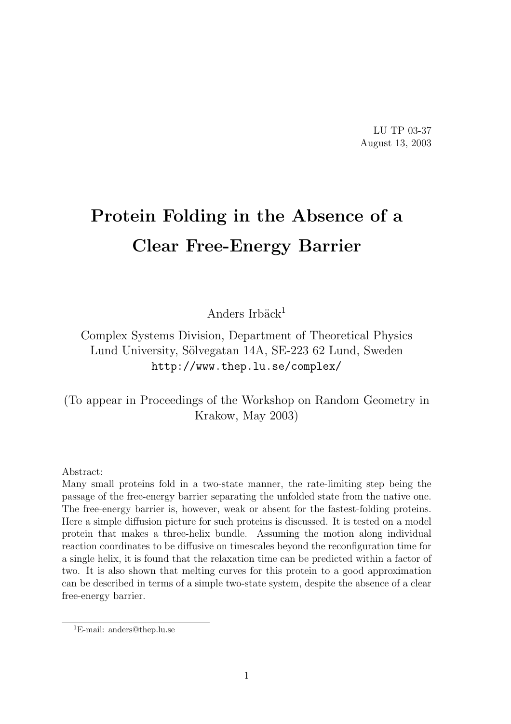LU TP 03-37 August 13, 2003

# Protein Folding in the Absence of a Clear Free-Energy Barrier

Anders Irbäck $1$ 

Complex Systems Division, Department of Theoretical Physics Lund University, Sölvegatan 14A, SE-223 62 Lund, Sweden http://www.thep.lu.se/complex/

(To appear in Proceedings of the Workshop on Random Geometry in Krakow, May 2003)

Abstract:

Many small proteins fold in a two-state manner, the rate-limiting step being the passage of the free-energy barrier separating the unfolded state from the native one. The free-energy barrier is, however, weak or absent for the fastest-folding proteins. Here a simple diffusion picture for such proteins is discussed. It is tested on a model protein that makes a three-helix bundle. Assuming the motion along individual reaction coordinates to be diffusive on timescales beyond the reconfiguration time for a single helix, it is found that the relaxation time can be predicted within a factor of two. It is also shown that melting curves for this protein to a good approximation can be described in terms of a simple two-state system, despite the absence of a clear free-energy barrier.

<sup>1</sup>E-mail: anders@thep.lu.se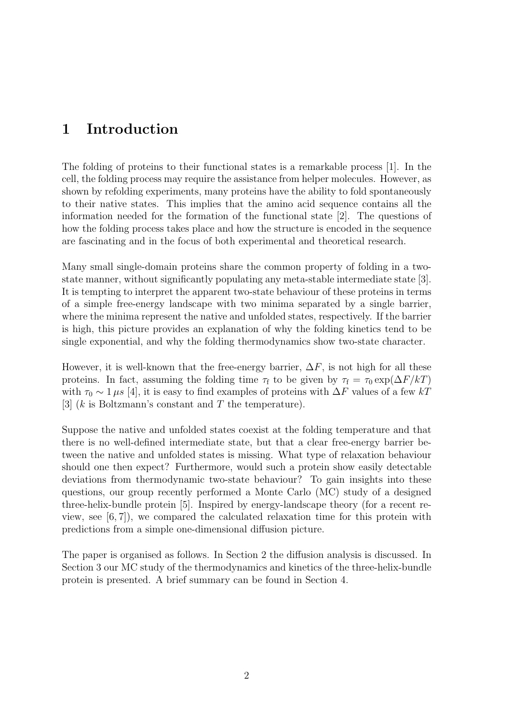## 1 Introduction

The folding of proteins to their functional states is a remarkable process [1]. In the cell, the folding process may require the assistance from helper molecules. However, as shown by refolding experiments, many proteins have the ability to fold spontaneously to their native states. This implies that the amino acid sequence contains all the information needed for the formation of the functional state [2]. The questions of how the folding process takes place and how the structure is encoded in the sequence are fascinating and in the focus of both experimental and theoretical research.

Many small single-domain proteins share the common property of folding in a twostate manner, without significantly populating any meta-stable intermediate state [3]. It is tempting to interpret the apparent two-state behaviour of these proteins in terms of a simple free-energy landscape with two minima separated by a single barrier, where the minima represent the native and unfolded states, respectively. If the barrier is high, this picture provides an explanation of why the folding kinetics tend to be single exponential, and why the folding thermodynamics show two-state character.

However, it is well-known that the free-energy barrier,  $\Delta F$ , is not high for all these proteins. In fact, assuming the folding time  $\tau_f$  to be given by  $\tau_f = \tau_0 \exp(\Delta F/kT)$ with  $\tau_0 \sim 1 \,\mu s$  [4], it is easy to find examples of proteins with  $\Delta F$  values of a few kT [3]  $(k \text{ is Boltzmann's constant and } T \text{ the temperature}).$ 

Suppose the native and unfolded states coexist at the folding temperature and that there is no well-defined intermediate state, but that a clear free-energy barrier between the native and unfolded states is missing. What type of relaxation behaviour should one then expect? Furthermore, would such a protein show easily detectable deviations from thermodynamic two-state behaviour? To gain insights into these questions, our group recently performed a Monte Carlo (MC) study of a designed three-helix-bundle protein [5]. Inspired by energy-landscape theory (for a recent review, see [6, 7]), we compared the calculated relaxation time for this protein with predictions from a simple one-dimensional diffusion picture.

The paper is organised as follows. In Section 2 the diffusion analysis is discussed. In Section 3 our MC study of the thermodynamics and kinetics of the three-helix-bundle protein is presented. A brief summary can be found in Section 4.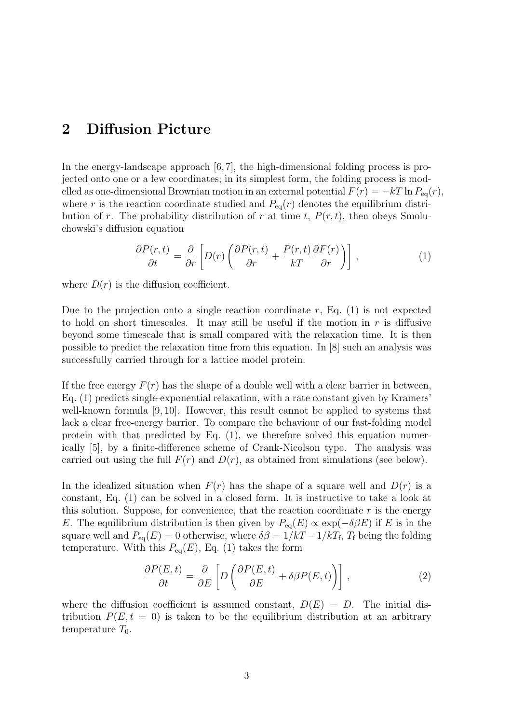## 2 Diffusion Picture

In the energy-landscape approach [6,7], the high-dimensional folding process is projected onto one or a few coordinates; in its simplest form, the folding process is modelled as one-dimensional Brownian motion in an external potential  $F(r) = -kT \ln P_{eq}(r)$ , where r is the reaction coordinate studied and  $P_{eq}(r)$  denotes the equilibrium distribution of r. The probability distribution of r at time t,  $P(r, t)$ , then obeys Smoluchowski's diffusion equation

$$
\frac{\partial P(r,t)}{\partial t} = \frac{\partial}{\partial r} \left[ D(r) \left( \frac{\partial P(r,t)}{\partial r} + \frac{P(r,t)}{kT} \frac{\partial F(r)}{\partial r} \right) \right],\tag{1}
$$

where  $D(r)$  is the diffusion coefficient.

Due to the projection onto a single reaction coordinate  $r$ , Eq. (1) is not expected to hold on short timescales. It may still be useful if the motion in  $r$  is diffusive beyond some timescale that is small compared with the relaxation time. It is then possible to predict the relaxation time from this equation. In [8] such an analysis was successfully carried through for a lattice model protein.

If the free energy  $F(r)$  has the shape of a double well with a clear barrier in between, Eq. (1) predicts single-exponential relaxation, with a rate constant given by Kramers' well-known formula [9, 10]. However, this result cannot be applied to systems that lack a clear free-energy barrier. To compare the behaviour of our fast-folding model protein with that predicted by Eq. (1), we therefore solved this equation numerically [5], by a finite-difference scheme of Crank-Nicolson type. The analysis was carried out using the full  $F(r)$  and  $D(r)$ , as obtained from simulations (see below).

In the idealized situation when  $F(r)$  has the shape of a square well and  $D(r)$  is a constant, Eq. (1) can be solved in a closed form. It is instructive to take a look at this solution. Suppose, for convenience, that the reaction coordinate  $r$  is the energy E. The equilibrium distribution is then given by  $P_{eq}(E) \propto \exp(-\delta \beta E)$  if E is in the square well and  $P_{eq}(E) = 0$  otherwise, where  $\delta\beta = 1/kT - 1/kT_f$ ,  $T_f$  being the folding temperature. With this  $P_{eq}(E)$ , Eq. (1) takes the form

$$
\frac{\partial P(E,t)}{\partial t} = \frac{\partial}{\partial E} \left[ D \left( \frac{\partial P(E,t)}{\partial E} + \delta \beta P(E,t) \right) \right],\tag{2}
$$

where the diffusion coefficient is assumed constant,  $D(E) = D$ . The initial distribution  $P(E, t = 0)$  is taken to be the equilibrium distribution at an arbitrary temperature  $T_0$ .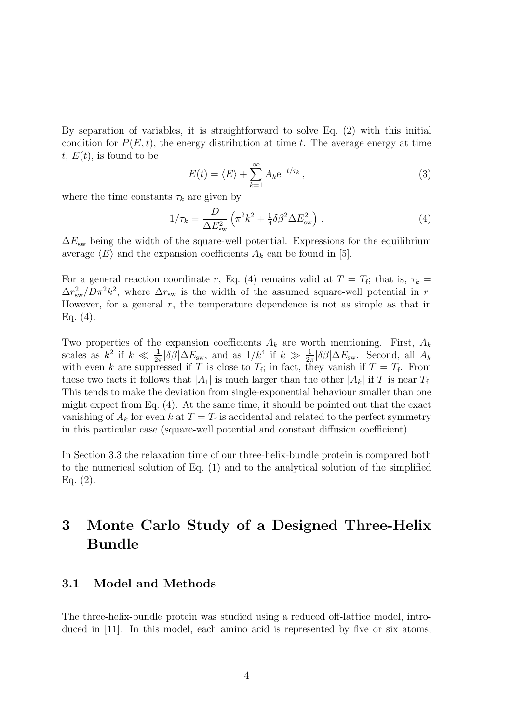By separation of variables, it is straightforward to solve Eq. (2) with this initial condition for  $P(E, t)$ , the energy distribution at time t. The average energy at time t,  $E(t)$ , is found to be

$$
E(t) = \langle E \rangle + \sum_{k=1}^{\infty} A_k e^{-t/\tau_k}, \qquad (3)
$$

where the time constants  $\tau_k$  are given by

$$
1/\tau_k = \frac{D}{\Delta E_{\rm sw}^2} \left( \pi^2 k^2 + \frac{1}{4} \delta \beta^2 \Delta E_{\rm sw}^2 \right) , \qquad (4)
$$

 $\Delta E_{\rm sw}$  being the width of the square-well potential. Expressions for the equilibrium average  $\langle E \rangle$  and the expansion coefficients  $A_k$  can be found in [5].

For a general reaction coordinate r, Eq. (4) remains valid at  $T = T_f$ ; that is,  $\tau_k =$  $\Delta r_{\rm sw}^2/D\pi^2k^2$ , where  $\Delta r_{\rm sw}$  is the width of the assumed square-well potential in r. However, for a general  $r$ , the temperature dependence is not as simple as that in Eq.  $(4)$ .

Two properties of the expansion coefficients  $A_k$  are worth mentioning. First,  $A_k$ scales as  $k^2$  if  $k \ll \frac{1}{2\pi} |\delta \beta| \Delta E_{\rm sw}$ , and as  $1/k^4$  if  $k \gg \frac{1}{2\pi} |\delta \beta| \Delta E_{\rm sw}$ . Second, all  $A_k$ with even k are suppressed if T is close to  $T_f$ ; in fact, they vanish if  $T = T_f$ . From these two facts it follows that  $|A_1|$  is much larger than the other  $|A_k|$  if T is near  $T_f$ . This tends to make the deviation from single-exponential behaviour smaller than one might expect from Eq. (4). At the same time, it should be pointed out that the exact vanishing of  $A_k$  for even k at  $T = T_f$  is accidental and related to the perfect symmetry in this particular case (square-well potential and constant diffusion coefficient).

In Section 3.3 the relaxation time of our three-helix-bundle protein is compared both to the numerical solution of Eq. (1) and to the analytical solution of the simplified Eq. (2).

## 3 Monte Carlo Study of a Designed Three-Helix Bundle

#### 3.1 Model and Methods

The three-helix-bundle protein was studied using a reduced off-lattice model, introduced in [11]. In this model, each amino acid is represented by five or six atoms,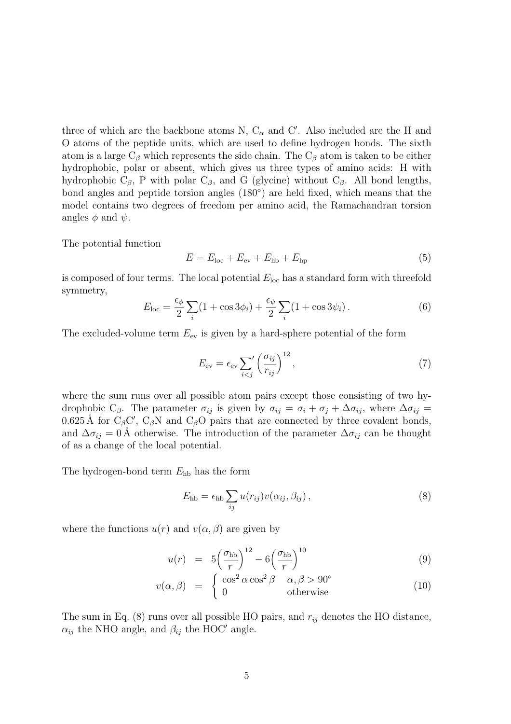three of which are the backbone atoms N,  $C_{\alpha}$  and C'. Also included are the H and O atoms of the peptide units, which are used to define hydrogen bonds. The sixth atom is a large  $C_\beta$  which represents the side chain. The  $C_\beta$  atom is taken to be either hydrophobic, polar or absent, which gives us three types of amino acids: H with hydrophobic  $C_\beta$ , P with polar  $C_\beta$ , and G (glycine) without  $C_\beta$ . All bond lengths, bond angles and peptide torsion angles (180◦ ) are held fixed, which means that the model contains two degrees of freedom per amino acid, the Ramachandran torsion angles  $\phi$  and  $\psi$ .

The potential function

$$
E = Eloc + Eev + Ehb + Ehp
$$
 (5)

is composed of four terms. The local potential  $E_{\text{loc}}$  has a standard form with threefold symmetry,

$$
E_{\text{loc}} = \frac{\epsilon_{\phi}}{2} \sum_{i} (1 + \cos 3\phi_i) + \frac{\epsilon_{\psi}}{2} \sum_{i} (1 + \cos 3\psi_i).
$$
 (6)

The excluded-volume term  $E_{\text{ev}}$  is given by a hard-sphere potential of the form

$$
E_{\rm ev} = \epsilon_{\rm ev} \sum_{i < j} \left(\frac{\sigma_{ij}}{r_{ij}}\right)^{12},\tag{7}
$$

where the sum runs over all possible atom pairs except those consisting of two hydrophobic C<sub>β</sub>. The parameter  $\sigma_{ij}$  is given by  $\sigma_{ij} = \sigma_i + \sigma_j + \Delta \sigma_{ij}$ , where  $\Delta \sigma_{ij} =$ 0.625 Å for  $C_{\beta}C'$ ,  $C_{\beta}N$  and  $C_{\beta}O$  pairs that are connected by three covalent bonds, and  $\Delta \sigma_{ij} = 0$  Å otherwise. The introduction of the parameter  $\Delta \sigma_{ij}$  can be thought of as a change of the local potential.

The hydrogen-bond term  $E_{hb}$  has the form

$$
E_{\rm hb} = \epsilon_{\rm hb} \sum_{ij} u(r_{ij}) v(\alpha_{ij}, \beta_{ij}), \qquad (8)
$$

where the functions  $u(r)$  and  $v(\alpha, \beta)$  are given by

$$
u(r) = 5\left(\frac{\sigma_{\rm hb}}{r}\right)^{12} - 6\left(\frac{\sigma_{\rm hb}}{r}\right)^{10} \tag{9}
$$

$$
v(\alpha, \beta) = \begin{cases} \cos^2 \alpha \cos^2 \beta & \alpha, \beta > 90^{\circ} \\ 0 & \text{otherwise} \end{cases}
$$
 (10)

The sum in Eq.  $(8)$  runs over all possible HO pairs, and  $r_{ij}$  denotes the HO distance,  $\alpha_{ij}$  the NHO angle, and  $\beta_{ij}$  the HOC' angle.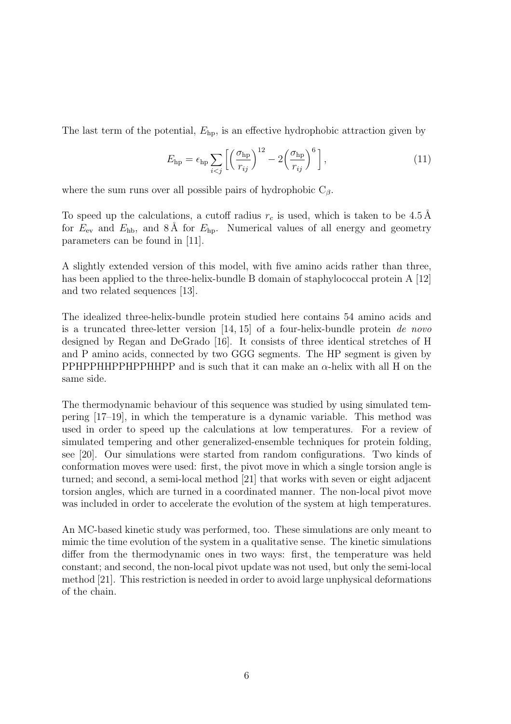The last term of the potential,  $E_{\text{hp}}$ , is an effective hydrophobic attraction given by

$$
E_{\rm hp} = \epsilon_{\rm hp} \sum_{i < j} \left[ \left( \frac{\sigma_{\rm hp}}{r_{ij}} \right)^{12} - 2 \left( \frac{\sigma_{\rm hp}}{r_{ij}} \right)^6 \right],\tag{11}
$$

where the sum runs over all possible pairs of hydrophobic  $C_\beta$ .

To speed up the calculations, a cutoff radius  $r_c$  is used, which is taken to be 4.5 Å for  $E_{\text{ev}}$  and  $E_{\text{hb}}$ , and  $8\text{ Å}$  for  $E_{\text{hp}}$ . Numerical values of all energy and geometry parameters can be found in [11].

A slightly extended version of this model, with five amino acids rather than three, has been applied to the three-helix-bundle B domain of staphylococcal protein A [12] and two related sequences [13].

The idealized three-helix-bundle protein studied here contains 54 amino acids and is a truncated three-letter version [14, 15] of a four-helix-bundle protein de novo designed by Regan and DeGrado [16]. It consists of three identical stretches of H and P amino acids, connected by two GGG segments. The HP segment is given by PPHPPHHPPHHPP and is such that it can make an  $\alpha$ -helix with all H on the same side.

The thermodynamic behaviour of this sequence was studied by using simulated tempering [17–19], in which the temperature is a dynamic variable. This method was used in order to speed up the calculations at low temperatures. For a review of simulated tempering and other generalized-ensemble techniques for protein folding, see [20]. Our simulations were started from random configurations. Two kinds of conformation moves were used: first, the pivot move in which a single torsion angle is turned; and second, a semi-local method [21] that works with seven or eight adjacent torsion angles, which are turned in a coordinated manner. The non-local pivot move was included in order to accelerate the evolution of the system at high temperatures.

An MC-based kinetic study was performed, too. These simulations are only meant to mimic the time evolution of the system in a qualitative sense. The kinetic simulations differ from the thermodynamic ones in two ways: first, the temperature was held constant; and second, the non-local pivot update was not used, but only the semi-local method [21]. This restriction is needed in order to avoid large unphysical deformations of the chain.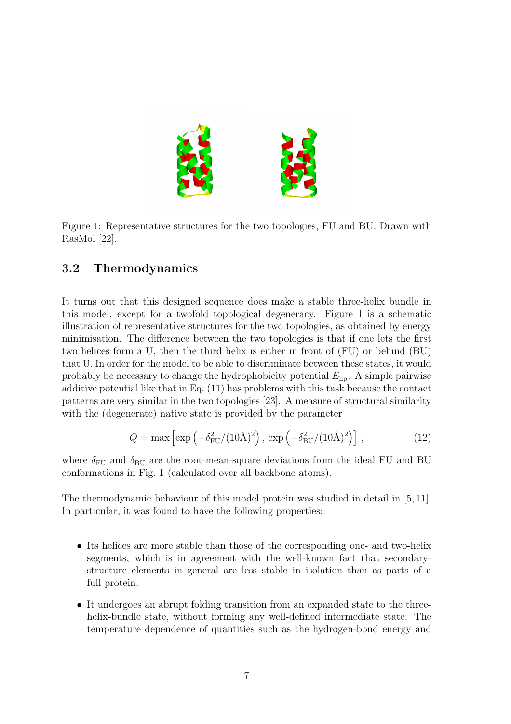

Figure 1: Representative structures for the two topologies, FU and BU. Drawn with RasMol [22].

#### 3.2 Thermodynamics

It turns out that this designed sequence does make a stable three-helix bundle in this model, except for a twofold topological degeneracy. Figure 1 is a schematic illustration of representative structures for the two topologies, as obtained by energy minimisation. The difference between the two topologies is that if one lets the first two helices form a U, then the third helix is either in front of (FU) or behind (BU) that U. In order for the model to be able to discriminate between these states, it would probably be necessary to change the hydrophobicity potential  $E_{hp}$ . A simple pairwise additive potential like that in Eq. (11) has problems with this task because the contact patterns are very similar in the two topologies [23]. A measure of structural similarity with the (degenerate) native state is provided by the parameter

$$
Q = \max \left[ \exp \left( -\delta_{\rm FU}^2 / (10 \text{\AA})^2 \right), \exp \left( -\delta_{\rm BU}^2 / (10 \text{\AA})^2 \right) \right], \tag{12}
$$

where  $\delta_{\text{FU}}$  and  $\delta_{\text{BU}}$  are the root-mean-square deviations from the ideal FU and BU conformations in Fig. 1 (calculated over all backbone atoms).

The thermodynamic behaviour of this model protein was studied in detail in [5, 11]. In particular, it was found to have the following properties:

- Its helices are more stable than those of the corresponding one- and two-helix segments, which is in agreement with the well-known fact that secondarystructure elements in general are less stable in isolation than as parts of a full protein.
- It undergoes an abrupt folding transition from an expanded state to the threehelix-bundle state, without forming any well-defined intermediate state. The temperature dependence of quantities such as the hydrogen-bond energy and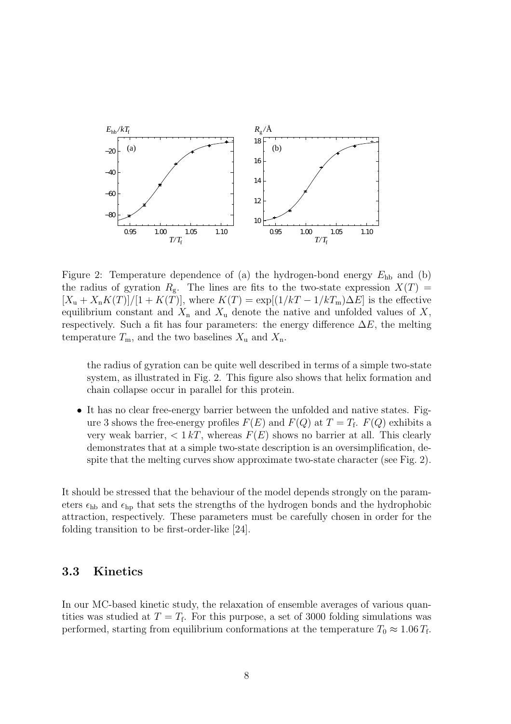

Figure 2: Temperature dependence of (a) the hydrogen-bond energy  $E_{hb}$  and (b) the radius of gyration  $R_g$ . The lines are fits to the two-state expression  $X(T)$  =  $[X_{\rm u}+X_{\rm n}K(T)]/[1+K(T)]$ , where  $K(T)=\exp[(1/kT-1/kT_{\rm m})\Delta E]$  is the effective equilibrium constant and  $X_n$  and  $X_u$  denote the native and unfolded values of X, respectively. Such a fit has four parameters: the energy difference  $\Delta E$ , the melting temperature  $T_{\rm m}$ , and the two baselines  $X_{\rm u}$  and  $X_{\rm n}$ .

the radius of gyration can be quite well described in terms of a simple two-state system, as illustrated in Fig. 2. This figure also shows that helix formation and chain collapse occur in parallel for this protein.

• It has no clear free-energy barrier between the unfolded and native states. Figure 3 shows the free-energy profiles  $F(E)$  and  $F(Q)$  at  $T = T_f$ .  $F(Q)$  exhibits a very weak barrier,  $\langle 1 kT$ , whereas  $F(E)$  shows no barrier at all. This clearly demonstrates that at a simple two-state description is an oversimplification, despite that the melting curves show approximate two-state character (see Fig. 2).

It should be stressed that the behaviour of the model depends strongly on the parameters  $\epsilon_{hb}$  and  $\epsilon_{hp}$  that sets the strengths of the hydrogen bonds and the hydrophobic attraction, respectively. These parameters must be carefully chosen in order for the folding transition to be first-order-like [24].

#### 3.3 Kinetics

In our MC-based kinetic study, the relaxation of ensemble averages of various quantities was studied at  $T = T_f$ . For this purpose, a set of 3000 folding simulations was performed, starting from equilibrium conformations at the temperature  $T_0 \approx 1.06 T_{\text{f}}$ .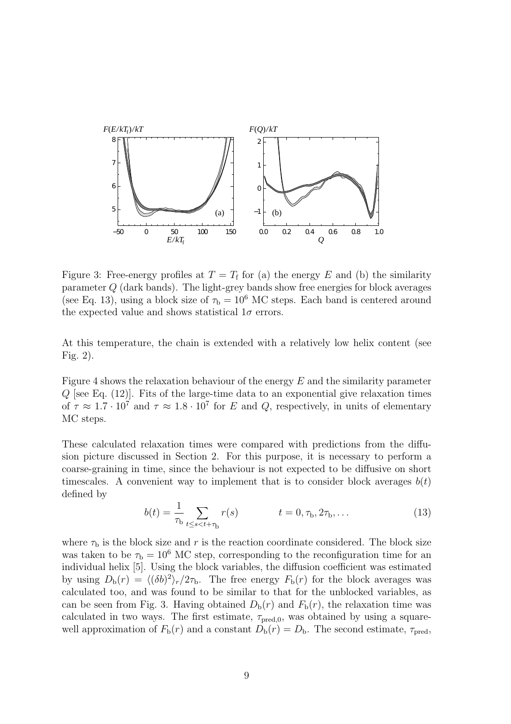

Figure 3: Free-energy profiles at  $T = T_f$  for (a) the energy E and (b) the similarity parameter Q (dark bands). The light-grey bands show free energies for block averages (see Eq. 13), using a block size of  $\tau_b = 10^6$  MC steps. Each band is centered around the expected value and shows statistical  $1\sigma$  errors.

At this temperature, the chain is extended with a relatively low helix content (see Fig. 2).

Figure 4 shows the relaxation behaviour of the energy E and the similarity parameter  $Q$  [see Eq.  $(12)$ ]. Fits of the large-time data to an exponential give relaxation times of  $\tau \approx 1.7 \cdot 10^7$  and  $\tau \approx 1.8 \cdot 10^7$  for E and Q, respectively, in units of elementary MC steps.

These calculated relaxation times were compared with predictions from the diffusion picture discussed in Section 2. For this purpose, it is necessary to perform a coarse-graining in time, since the behaviour is not expected to be diffusive on short timescales. A convenient way to implement that is to consider block averages  $b(t)$ defined by

$$
b(t) = \frac{1}{\tau_b} \sum_{t \le s < t + \tau_b} r(s) \qquad t = 0, \tau_b, 2\tau_b, \dots \tag{13}
$$

where  $\tau_{\rm b}$  is the block size and r is the reaction coordinate considered. The block size was taken to be  $\tau_{\rm b} = 10^6$  MC step, corresponding to the reconfiguration time for an individual helix [5]. Using the block variables, the diffusion coefficient was estimated by using  $D_{b}(r) = \langle (\delta b)^{2} \rangle_{r}/2\tau_{b}$ . The free energy  $F_{b}(r)$  for the block averages was calculated too, and was found to be similar to that for the unblocked variables, as can be seen from Fig. 3. Having obtained  $D_{\rm b}(r)$  and  $F_{\rm b}(r)$ , the relaxation time was calculated in two ways. The first estimate,  $\tau_{pred,0}$ , was obtained by using a squarewell approximation of  $F_{\rm b}(r)$  and a constant  $D_{\rm b}(r) = D_{\rm b}$ . The second estimate,  $\tau_{\rm pred}$ ,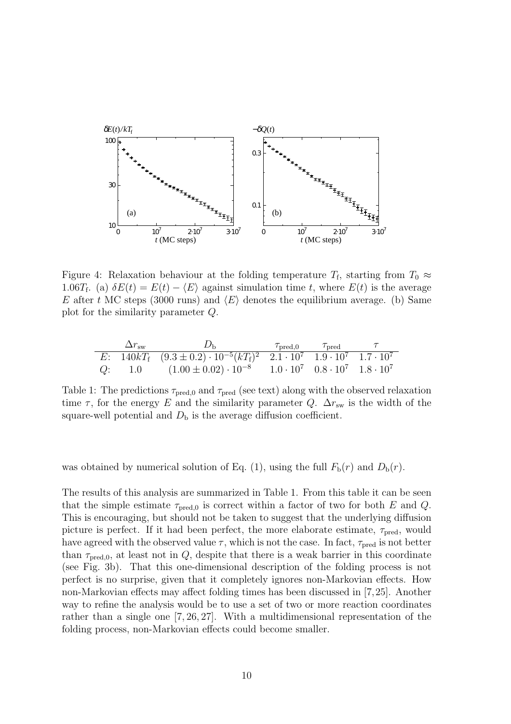

Figure 4: Relaxation behaviour at the folding temperature  $T_f$ , starting from  $T_0 \approx$ 1.06T<sub>f</sub>. (a)  $\delta E(t) = E(t) - \langle E \rangle$  against simulation time t, where  $E(t)$  is the average E after t MC steps (3000 runs) and  $\langle E \rangle$  denotes the equilibrium average. (b) Same plot for the similarity parameter Q.

| $\Delta r_{\rm sw}$ | $D_{\rm b}$                                                                                      | $\tau_{\rm pred,0}$ $\tau_{\rm pred}$ |  |
|---------------------|--------------------------------------------------------------------------------------------------|---------------------------------------|--|
|                     | E: $140kT_f (9.3 \pm 0.2) \cdot 10^{-5} (kT_f)^2 (2.1 \cdot 10^7) 1.9 \cdot 10^7 1.7 \cdot 10^7$ |                                       |  |
|                     | Q: 1.0 $(1.00 \pm 0.02) \cdot 10^{-8}$ $1.0 \cdot 10^{7}$ $0.8 \cdot 10^{7}$ $1.8 \cdot 10^{7}$  |                                       |  |

Table 1: The predictions  $\tau_{\text{pred},0}$  and  $\tau_{\text{pred}}$  (see text) along with the observed relaxation time  $\tau$ , for the energy E and the similarity parameter Q.  $\Delta r_{sw}$  is the width of the square-well potential and  $D<sub>b</sub>$  is the average diffusion coefficient.

was obtained by numerical solution of Eq. (1), using the full  $F<sub>b</sub>(r)$  and  $D<sub>b</sub>(r)$ .

The results of this analysis are summarized in Table 1. From this table it can be seen that the simple estimate  $\tau_{\text{pred},0}$  is correct within a factor of two for both E and Q. This is encouraging, but should not be taken to suggest that the underlying diffusion picture is perfect. If it had been perfect, the more elaborate estimate,  $\tau_{pred}$ , would have agreed with the observed value  $\tau$ , which is not the case. In fact,  $\tau_{pred}$  is not better than  $\tau_{pred,0}$ , at least not in Q, despite that there is a weak barrier in this coordinate (see Fig. 3b). That this one-dimensional description of the folding process is not perfect is no surprise, given that it completely ignores non-Markovian effects. How non-Markovian effects may affect folding times has been discussed in [7,25]. Another way to refine the analysis would be to use a set of two or more reaction coordinates rather than a single one [7, 26, 27]. With a multidimensional representation of the folding process, non-Markovian effects could become smaller.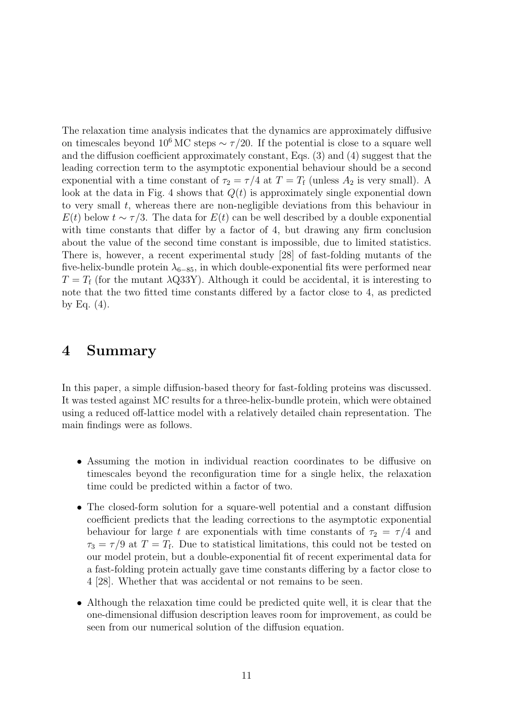The relaxation time analysis indicates that the dynamics are approximately diffusive on timescales beyond 10<sup>6</sup> MC steps  $\sim \tau/20$ . If the potential is close to a square well and the diffusion coefficient approximately constant, Eqs. (3) and (4) suggest that the leading correction term to the asymptotic exponential behaviour should be a second exponential with a time constant of  $\tau_2 = \tau/4$  at  $T = T_f$  (unless  $A_2$  is very small). A look at the data in Fig. 4 shows that  $Q(t)$  is approximately single exponential down to very small t, whereas there are non-negligible deviations from this behaviour in  $E(t)$  below  $t \sim \tau/3$ . The data for  $E(t)$  can be well described by a double exponential with time constants that differ by a factor of 4, but drawing any firm conclusion about the value of the second time constant is impossible, due to limited statistics. There is, however, a recent experimental study [28] of fast-folding mutants of the five-helix-bundle protein  $\lambda_{6-85}$ , in which double-exponential fits were performed near  $T = T_f$  (for the mutant  $\lambda$ Q33Y). Although it could be accidental, it is interesting to note that the two fitted time constants differed by a factor close to 4, as predicted by Eq.  $(4)$ .

#### 4 Summary

In this paper, a simple diffusion-based theory for fast-folding proteins was discussed. It was tested against MC results for a three-helix-bundle protein, which were obtained using a reduced off-lattice model with a relatively detailed chain representation. The main findings were as follows.

- Assuming the motion in individual reaction coordinates to be diffusive on timescales beyond the reconfiguration time for a single helix, the relaxation time could be predicted within a factor of two.
- The closed-form solution for a square-well potential and a constant diffusion coefficient predicts that the leading corrections to the asymptotic exponential behaviour for large t are exponentials with time constants of  $\tau_2 = \tau/4$  and  $\tau_3 = \tau/9$  at  $T = T_f$ . Due to statistical limitations, this could not be tested on our model protein, but a double-exponential fit of recent experimental data for a fast-folding protein actually gave time constants differing by a factor close to 4 [28]. Whether that was accidental or not remains to be seen.
- Although the relaxation time could be predicted quite well, it is clear that the one-dimensional diffusion description leaves room for improvement, as could be seen from our numerical solution of the diffusion equation.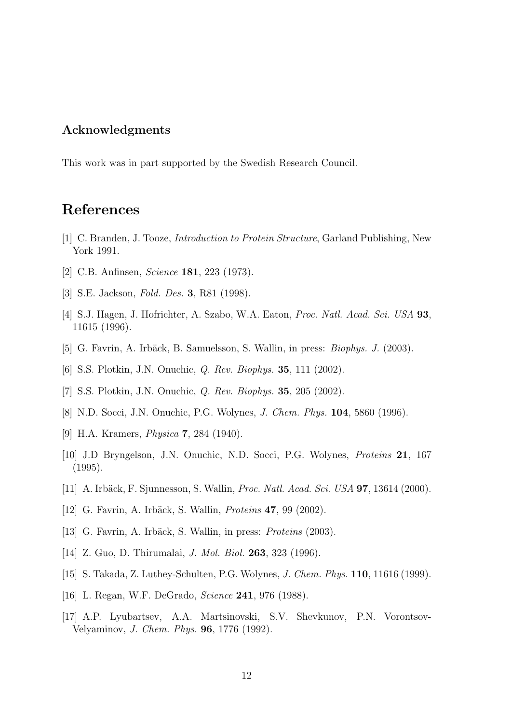#### Acknowledgments

This work was in part supported by the Swedish Research Council.

## References

- [1] C. Branden, J. Tooze, Introduction to Protein Structure, Garland Publishing, New York 1991.
- [2] C.B. Anfinsen, Science 181, 223 (1973).
- [3] S.E. Jackson, Fold. Des. 3, R81 (1998).
- [4] S.J. Hagen, J. Hofrichter, A. Szabo, W.A. Eaton, Proc. Natl. Acad. Sci. USA 93, 11615 (1996).
- [5] G. Favrin, A. Irbäck, B. Samuelsson, S. Wallin, in press: *Biophys. J.* (2003).
- [6] S.S. Plotkin, J.N. Onuchic, Q. Rev. Biophys. 35, 111 (2002).
- [7] S.S. Plotkin, J.N. Onuchic, *Q. Rev. Biophys.* **35**, 205 (2002).
- [8] N.D. Socci, J.N. Onuchic, P.G. Wolynes, J. Chem. Phys. 104, 5860 (1996).
- [9] H.A. Kramers, *Physica* **7**, 284 (1940).
- [10] J.D Bryngelson, J.N. Onuchic, N.D. Socci, P.G. Wolynes, Proteins 21, 167 (1995).
- [11] A. Irbäck, F. Sjunnesson, S. Wallin, *Proc. Natl. Acad. Sci. USA* **97**, 13614 (2000).
- [12] G. Favrin, A. Irbäck, S. Wallin, *Proteins* **47**, 99 (2002).
- [13] G. Favrin, A. Irbäck, S. Wallin, in press: *Proteins* (2003).
- [14] Z. Guo, D. Thirumalai, J. Mol. Biol. 263, 323 (1996).
- [15] S. Takada, Z. Luthey-Schulten, P.G. Wolynes, J. Chem. Phys. 110, 11616 (1999).
- [16] L. Regan, W.F. DeGrado, *Science* **241**, 976 (1988).
- [17] A.P. Lyubartsev, A.A. Martsinovski, S.V. Shevkunov, P.N. Vorontsov-Velyaminov, J. Chem. Phys. 96, 1776 (1992).